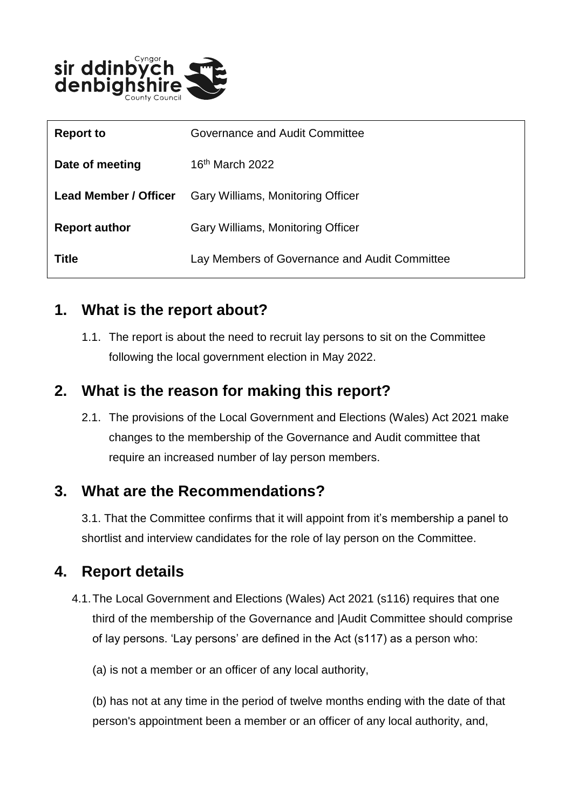

| <b>Report to</b>             | Governance and Audit Committee                |
|------------------------------|-----------------------------------------------|
| Date of meeting              | $16th$ March 2022                             |
| <b>Lead Member / Officer</b> | Gary Williams, Monitoring Officer             |
| <b>Report author</b>         | Gary Williams, Monitoring Officer             |
| Title                        | Lay Members of Governance and Audit Committee |

#### **1. What is the report about?**

1.1. The report is about the need to recruit lay persons to sit on the Committee following the local government election in May 2022.

## **2. What is the reason for making this report?**

2.1. The provisions of the Local Government and Elections (Wales) Act 2021 make changes to the membership of the Governance and Audit committee that require an increased number of lay person members.

## **3. What are the Recommendations?**

3.1. That the Committee confirms that it will appoint from it's membership a panel to shortlist and interview candidates for the role of lay person on the Committee.

## **4. Report details**

- 4.1.The Local Government and Elections (Wales) Act 2021 (s116) requires that one third of the membership of the Governance and |Audit Committee should comprise of lay persons. 'Lay persons' are defined in the Act (s117) as a person who:
	- (a) is not a member or an officer of any local authority,

(b) has not at any time in the period of twelve months ending with the date of that person's appointment been a member or an officer of any local authority, and,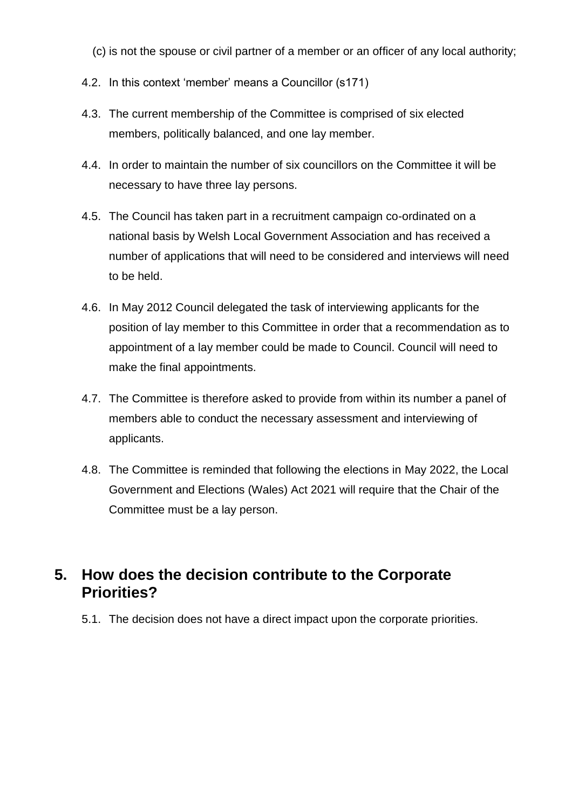- (c) is not the spouse or civil partner of a member or an officer of any local authority;
- 4.2. In this context 'member' means a Councillor (s171)
- 4.3. The current membership of the Committee is comprised of six elected members, politically balanced, and one lay member.
- 4.4. In order to maintain the number of six councillors on the Committee it will be necessary to have three lay persons.
- 4.5. The Council has taken part in a recruitment campaign co-ordinated on a national basis by Welsh Local Government Association and has received a number of applications that will need to be considered and interviews will need to be held.
- 4.6. In May 2012 Council delegated the task of interviewing applicants for the position of lay member to this Committee in order that a recommendation as to appointment of a lay member could be made to Council. Council will need to make the final appointments.
- 4.7. The Committee is therefore asked to provide from within its number a panel of members able to conduct the necessary assessment and interviewing of applicants.
- 4.8. The Committee is reminded that following the elections in May 2022, the Local Government and Elections (Wales) Act 2021 will require that the Chair of the Committee must be a lay person.

#### **5. How does the decision contribute to the Corporate Priorities?**

5.1. The decision does not have a direct impact upon the corporate priorities.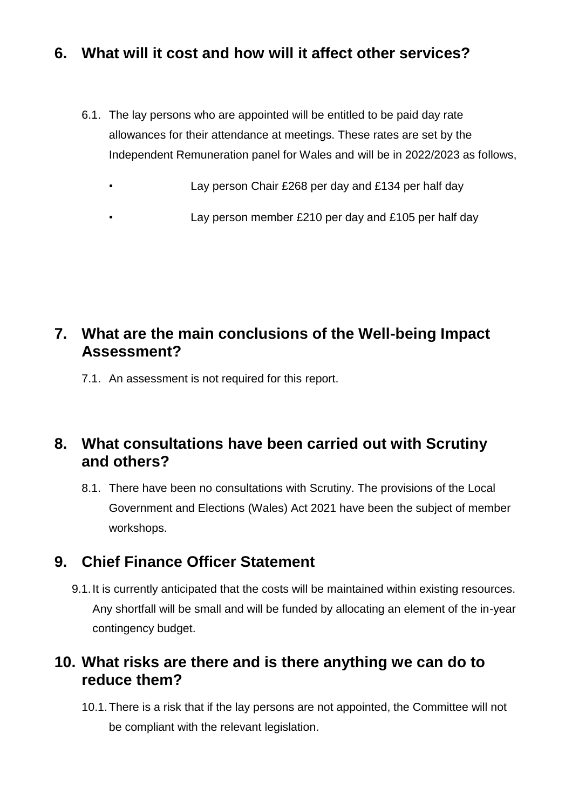## **6. What will it cost and how will it affect other services?**

- 6.1. The lay persons who are appointed will be entitled to be paid day rate allowances for their attendance at meetings. These rates are set by the Independent Remuneration panel for Wales and will be in 2022/2023 as follows,
	- Lay person Chair £268 per day and £134 per half day

• Lay person member £210 per day and £105 per half day

## **7. What are the main conclusions of the Well-being Impact Assessment?**

7.1. An assessment is not required for this report.

## **8. What consultations have been carried out with Scrutiny and others?**

8.1. There have been no consultations with Scrutiny. The provisions of the Local Government and Elections (Wales) Act 2021 have been the subject of member workshops.

## **9. Chief Finance Officer Statement**

9.1.It is currently anticipated that the costs will be maintained within existing resources. Any shortfall will be small and will be funded by allocating an element of the in-year contingency budget.

## **10. What risks are there and is there anything we can do to reduce them?**

10.1.There is a risk that if the lay persons are not appointed, the Committee will not be compliant with the relevant legislation.